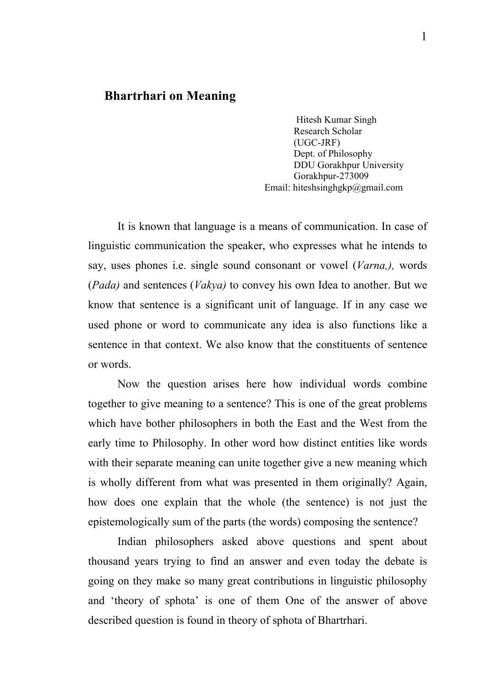## Bhartrhari on Meaning

Hitesh Kumar Singh Research Scholar (UGC-JRF) Dept. of Philosophy DDU Gorakhpur University Gorakhpur-273009 Email: hiteshsinghgkp@gmail.com

It is known that language is a means of communication. In case of linguistic communication the speaker, who expresses what he intends to say, uses phones i.e. single sound consonant or vowel (*Varna,),* words (*Pada)* and sentences (*Vakya)* to convey his own Idea to another. But we know that sentence is a significant unit of language. If in any case we used phone or word to communicate any idea is also functions like a sentence in that context. We also know that the constituents of sentence or words.

Now the question arises here how individual words combine together to give meaning to a sentence? This is one of the great problems which have bother philosophers in both the East and the West from the early time to Philosophy. In other word how distinct entities like words with their separate meaning can unite together give a new meaning which is wholly different from what was presented in them originally? Again, how does one explain that the whole (the sentence) is not just the epistemologically sum of the parts (the words) composing the sentence?

Indian philosophers asked above questions and spent about thousand years trying to find an answer and even today the debate is going on they make so many great contributions in linguistic philosophy and 'theory of sphota' is one of them One of the answer of above described question is found in theory of sphota of Bhartrhari.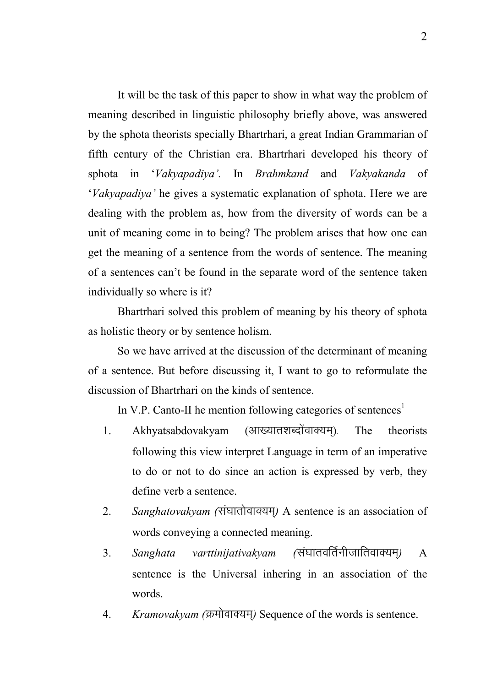It will be the task of this paper to show in what way the problem of meaning described in linguistic philosophy briefly above, was answered by the sphota theorists specially Bhartrhari, a great Indian Grammarian of fifth century of the Christian era. Bhartrhari developed his theory of sphota in '*Vakyapadiya'.* In *Brahmkand* and *Vakyakanda* of '*Vakyapadiya'* he gives a systematic explanation of sphota. Here we are dealing with the problem as, how from the diversity of words can be a unit of meaning come in to being? The problem arises that how one can get the meaning of a sentence from the words of sentence. The meaning of a sentences can't be found in the separate word of the sentence taken individually so where is it?

Bhartrhari solved this problem of meaning by his theory of sphota as holistic theory or by sentence holism.

So we have arrived at the discussion of the determinant of meaning of a sentence. But before discussing it, I want to go to reformulate the discussion of Bhartrhari on the kinds of sentence.

In V.P. Canto-II he mention following categories of sentences<sup>1</sup>

- 1. Akhyatsabdovakyam (आख्यातशब्दोंवाक्यम्). The theorists following this view interpret Language in term of an imperative to do or not to do since an action is expressed by verb, they define verb a sentence.
- 2. Sanghatovakyam (संघातोवाक्यम्) A sentence is an association of words conveying a connected meaning.
- 3. *Sanghata varttinijativakyam (*संघातवर्तिनीजातिवाक्यम्) A sentence is the Universal inhering in an association of the words.
- 4. *Kramovakvam (*क्रमोवाक्यम) Sequence of the words is sentence.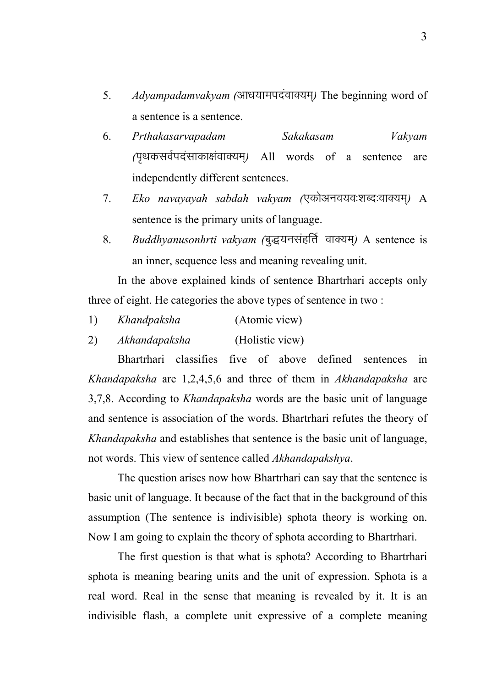- 5. *Adyampadamvakyam (*आधयामपदंवाक्यम) The beginning word of a sentence is a sentence.
- 6. *Prthakasarvapadam Sakakasam Vakyam (*i`FkdloZinalkdk{kaokD;e~*)* All words of a sentence are independently different sentences.
- 7. *Eko navayayah sabdah vakyam (*एकोअनवयवःशब्दःवाक्यम्) A sentence is the primary units of language.
- 8. *Buddhyanusonhrti vakyam (*बुद्धयनसंहर्ति वाक्यम्) A sentence is an inner, sequence less and meaning revealing unit.

In the above explained kinds of sentence Bhartrhari accepts only three of eight. He categories the above types of sentence in two :

- 1) *Khandpaksha* (Atomic view)
- 2) *Akhandapaksha* (Holistic view)

Bhartrhari classifies five of above defined sentences in *Khandapaksha* are 1,2,4,5,6 and three of them in *Akhandapaksha* are 3,7,8. According to *Khandapaksha* words are the basic unit of language and sentence is association of the words. Bhartrhari refutes the theory of *Khandapaksha* and establishes that sentence is the basic unit of language, not words. This view of sentence called *Akhandapakshya*.

The question arises now how Bhartrhari can say that the sentence is basic unit of language. It because of the fact that in the background of this assumption (The sentence is indivisible) sphota theory is working on. Now I am going to explain the theory of sphota according to Bhartrhari.

The first question is that what is sphota? According to Bhartrhari sphota is meaning bearing units and the unit of expression. Sphota is a real word. Real in the sense that meaning is revealed by it. It is an indivisible flash, a complete unit expressive of a complete meaning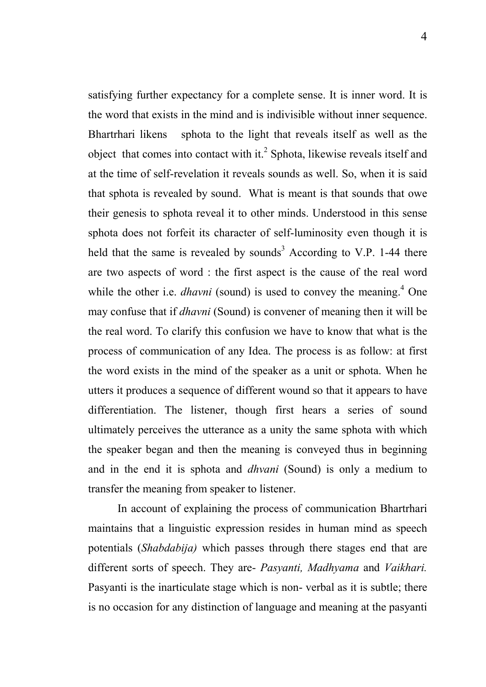satisfying further expectancy for a complete sense. It is inner word. It is the word that exists in the mind and is indivisible without inner sequence. Bhartrhari likens sphota to the light that reveals itself as well as the object that comes into contact with it. $2$  Sphota, likewise reveals itself and at the time of self-revelation it reveals sounds as well. So, when it is said that sphota is revealed by sound. What is meant is that sounds that owe their genesis to sphota reveal it to other minds. Understood in this sense sphota does not forfeit its character of self-luminosity even though it is held that the same is revealed by sounds<sup>3</sup> According to V.P. 1-44 there are two aspects of word : the first aspect is the cause of the real word while the other i.e. *dhavni* (sound) is used to convey the meaning.<sup>4</sup> One may confuse that if *dhavni* (Sound) is convener of meaning then it will be the real word. To clarify this confusion we have to know that what is the process of communication of any Idea. The process is as follow: at first the word exists in the mind of the speaker as a unit or sphota. When he utters it produces a sequence of different wound so that it appears to have differentiation. The listener, though first hears a series of sound ultimately perceives the utterance as a unity the same sphota with which the speaker began and then the meaning is conveyed thus in beginning and in the end it is sphota and *dhvani* (Sound) is only a medium to transfer the meaning from speaker to listener.

In account of explaining the process of communication Bhartrhari maintains that a linguistic expression resides in human mind as speech potentials (*Shabdabija)* which passes through there stages end that are different sorts of speech. They are- *Pasyanti, Madhyama* and *Vaikhari.* Pasyanti is the inarticulate stage which is non- verbal as it is subtle; there is no occasion for any distinction of language and meaning at the pasyanti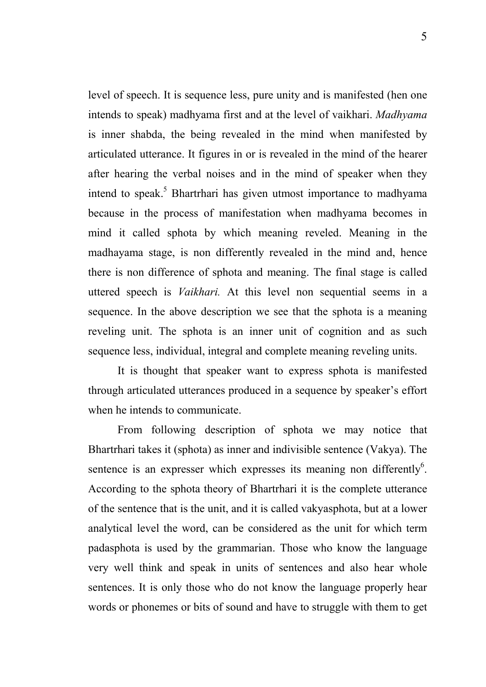level of speech. It is sequence less, pure unity and is manifested (hen one intends to speak) madhyama first and at the level of vaikhari. *Madhyama*  is inner shabda, the being revealed in the mind when manifested by articulated utterance. It figures in or is revealed in the mind of the hearer after hearing the verbal noises and in the mind of speaker when they intend to speak. 5 Bhartrhari has given utmost importance to madhyama because in the process of manifestation when madhyama becomes in mind it called sphota by which meaning reveled. Meaning in the madhayama stage, is non differently revealed in the mind and, hence there is non difference of sphota and meaning. The final stage is called uttered speech is *Vaikhari.* At this level non sequential seems in a sequence. In the above description we see that the sphota is a meaning reveling unit. The sphota is an inner unit of cognition and as such sequence less, individual, integral and complete meaning reveling units.

It is thought that speaker want to express sphota is manifested through articulated utterances produced in a sequence by speaker's effort when he intends to communicate.

From following description of sphota we may notice that Bhartrhari takes it (sphota) as inner and indivisible sentence (Vakya). The sentence is an expresser which expresses its meaning non differently $6$ . According to the sphota theory of Bhartrhari it is the complete utterance of the sentence that is the unit, and it is called vakyasphota, but at a lower analytical level the word, can be considered as the unit for which term padasphota is used by the grammarian. Those who know the language very well think and speak in units of sentences and also hear whole sentences. It is only those who do not know the language properly hear words or phonemes or bits of sound and have to struggle with them to get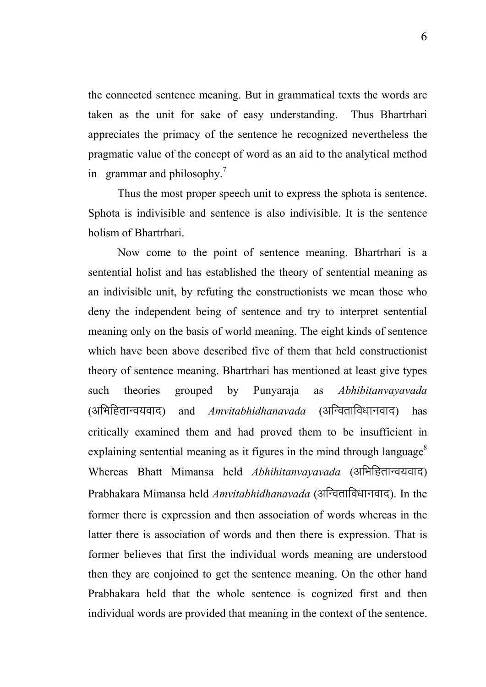the connected sentence meaning. But in grammatical texts the words are taken as the unit for sake of easy understanding. Thus Bhartrhari appreciates the primacy of the sentence he recognized nevertheless the pragmatic value of the concept of word as an aid to the analytical method in grammar and philosophy.<sup>7</sup>

Thus the most proper speech unit to express the sphota is sentence. Sphota is indivisible and sentence is also indivisible. It is the sentence holism of Bhartrhari.

Now come to the point of sentence meaning. Bhartrhari is a sentential holist and has established the theory of sentential meaning as an indivisible unit, by refuting the constructionists we mean those who deny the independent being of sentence and try to interpret sentential meaning only on the basis of world meaning. The eight kinds of sentence which have been above described five of them that held constructionist theory of sentence meaning. Bhartrhari has mentioned at least give types such theories grouped by Punyaraja as *Abhibitanvayavada*  (अभिहितान्वयवाद) and *Amvitabhidhanavada* (अन्विताविधानवाद) has critically examined them and had proved them to be insufficient in explaining sentential meaning as it figures in the mind through language<sup>8</sup> Whereas Bhatt Mimansa held *Abhihitanvayavada* (अभिहितान्वयवाद) Prabhakara Mimansa held *Amvitabhidhanavada* (अन्विताविधानवाद). In the former there is expression and then association of words whereas in the latter there is association of words and then there is expression. That is former believes that first the individual words meaning are understood then they are conjoined to get the sentence meaning. On the other hand Prabhakara held that the whole sentence is cognized first and then individual words are provided that meaning in the context of the sentence.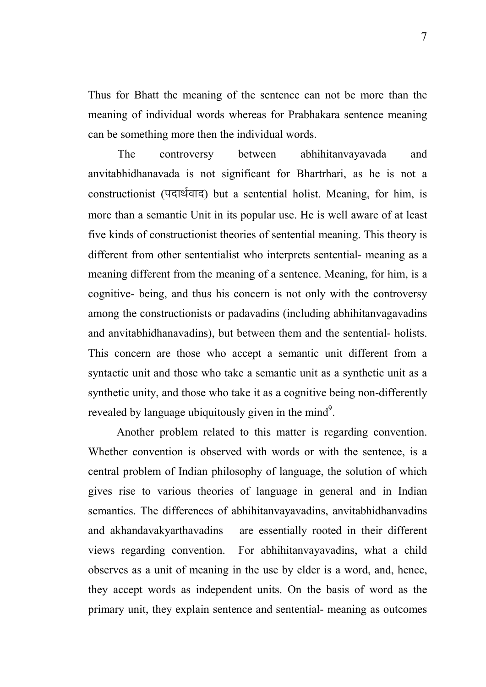Thus for Bhatt the meaning of the sentence can not be more than the meaning of individual words whereas for Prabhakara sentence meaning can be something more then the individual words.

The controversy between abhihitanvayavada and anvitabhidhanavada is not significant for Bhartrhari, as he is not a constructionist (पदार्थवाद) but a sentential holist. Meaning, for him, is more than a semantic Unit in its popular use. He is well aware of at least five kinds of constructionist theories of sentential meaning. This theory is different from other sententialist who interprets sentential- meaning as a meaning different from the meaning of a sentence. Meaning, for him, is a cognitive- being, and thus his concern is not only with the controversy among the constructionists or padavadins (including abhihitanvagavadins and anvitabhidhanavadins), but between them and the sentential- holists. This concern are those who accept a semantic unit different from a syntactic unit and those who take a semantic unit as a synthetic unit as a synthetic unity, and those who take it as a cognitive being non-differently revealed by language ubiquitously given in the mind<sup>9</sup>.

 Another problem related to this matter is regarding convention. Whether convention is observed with words or with the sentence, is a central problem of Indian philosophy of language, the solution of which gives rise to various theories of language in general and in Indian semantics. The differences of abhihitanvayavadins, anvitabhidhanvadins and akhandavakyarthavadins are essentially rooted in their different views regarding convention. For abhihitanvayavadins, what a child observes as a unit of meaning in the use by elder is a word, and, hence, they accept words as independent units. On the basis of word as the primary unit, they explain sentence and sentential- meaning as outcomes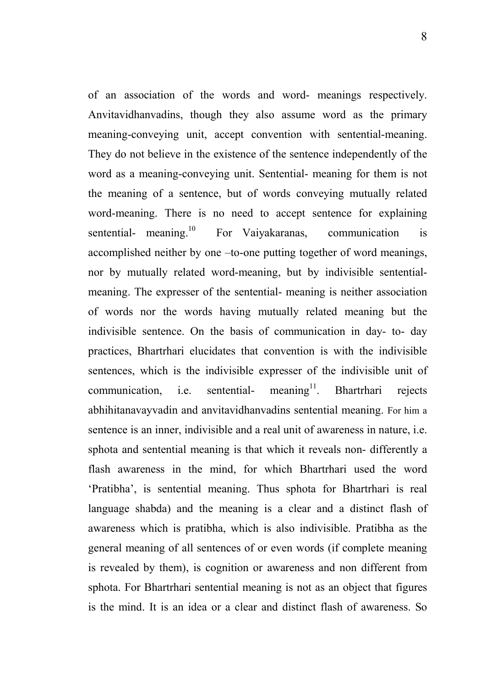of an association of the words and word- meanings respectively. Anvitavidhanvadins, though they also assume word as the primary meaning-conveying unit, accept convention with sentential-meaning. They do not believe in the existence of the sentence independently of the word as a meaning-conveying unit. Sentential- meaning for them is not the meaning of a sentence, but of words conveying mutually related word-meaning. There is no need to accept sentence for explaining sentential- meaning.<sup>10</sup> For Vaiyakaranas, communication is accomplished neither by one –to-one putting together of word meanings, nor by mutually related word-meaning, but by indivisible sententialmeaning. The expresser of the sentential- meaning is neither association of words nor the words having mutually related meaning but the indivisible sentence. On the basis of communication in day- to- day practices, Bhartrhari elucidates that convention is with the indivisible sentences, which is the indivisible expresser of the indivisible unit of  $commutation$ , i.e. sentential- meaning<sup>11</sup>. Bhartrhari rejects abhihitanavayvadin and anvitavidhanvadins sentential meaning. For him a sentence is an inner, indivisible and a real unit of awareness in nature, i.e. sphota and sentential meaning is that which it reveals non- differently a flash awareness in the mind, for which Bhartrhari used the word 'Pratibha', is sentential meaning. Thus sphota for Bhartrhari is real language shabda) and the meaning is a clear and a distinct flash of awareness which is pratibha, which is also indivisible. Pratibha as the general meaning of all sentences of or even words (if complete meaning is revealed by them), is cognition or awareness and non different from sphota. For Bhartrhari sentential meaning is not as an object that figures is the mind. It is an idea or a clear and distinct flash of awareness. So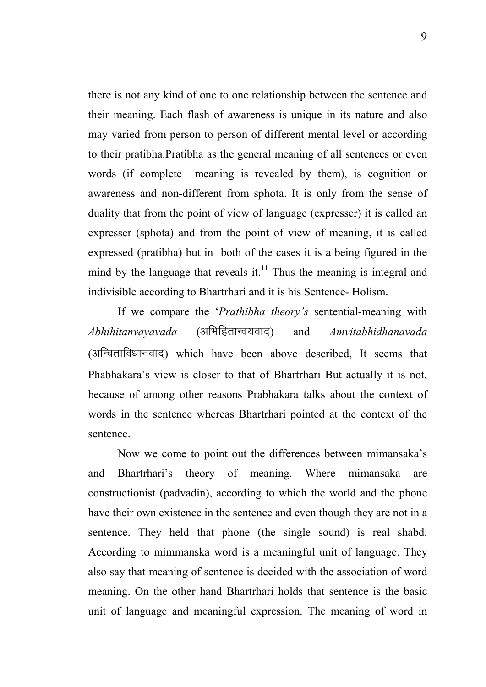there is not any kind of one to one relationship between the sentence and their meaning. Each flash of awareness is unique in its nature and also may varied from person to person of different mental level or according to their pratibha.Pratibha as the general meaning of all sentences or even words (if complete meaning is revealed by them), is cognition or awareness and non-different from sphota. It is only from the sense of duality that from the point of view of language (expresser) it is called an expresser (sphota) and from the point of view of meaning, it is called expressed (pratibha) but in both of the cases it is a being figured in the mind by the language that reveals it.<sup>11</sup> Thus the meaning is integral and indivisible according to Bhartrhari and it is his Sentence- Holism.

If we compare the '*Prathibha theory's* sentential-meaning with *Abhihitanvayavada* (vfHkfgrkUo;okn) and *Amvitabhidhanavada*   $(3\sqrt{10})$   $\sqrt{10}$   $\sqrt{10}$  which have been above described. It seems that Phabhakara's view is closer to that of Bhartrhari But actually it is not, because of among other reasons Prabhakara talks about the context of words in the sentence whereas Bhartrhari pointed at the context of the sentence.

Now we come to point out the differences between mimansaka's and Bhartrhari's theory of meaning. Where mimansaka are constructionist (padvadin), according to which the world and the phone have their own existence in the sentence and even though they are not in a sentence. They held that phone (the single sound) is real shabd. According to mimmanska word is a meaningful unit of language. They also say that meaning of sentence is decided with the association of word meaning. On the other hand Bhartrhari holds that sentence is the basic unit of language and meaningful expression. The meaning of word in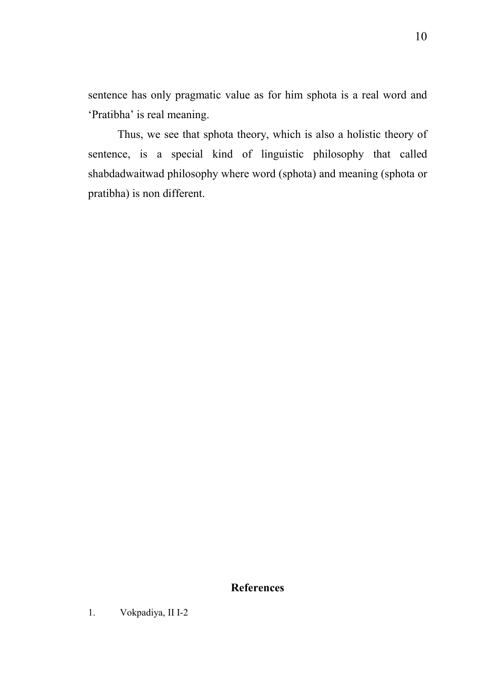sentence has only pragmatic value as for him sphota is a real word and 'Pratibha' is real meaning.

Thus, we see that sphota theory, which is also a holistic theory of sentence, is a special kind of linguistic philosophy that called shabdadwaitwad philosophy where word (sphota) and meaning (sphota or pratibha) is non different.

## References